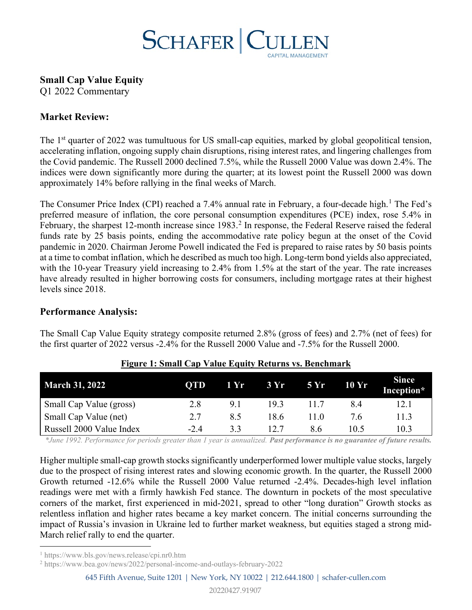

**Small Cap Value Equity**

Q1 2022 Commentary

# **Market Review:**

The 1<sup>st</sup> quarter of 2022 was tumultuous for US small-cap equities, marked by global geopolitical tension, accelerating inflation, ongoing supply chain disruptions, rising interest rates, and lingering challenges from the Covid pandemic. The Russell 2000 declined 7.5%, while the Russell 2000 Value was down 2.4%. The indices were down significantly more during the quarter; at its lowest point the Russell 2000 was down approximately 14% before rallying in the final weeks of March.

The Consumer Price Index (CPI) reached a 7.4% annual rate in February, a four-decade high.<sup>[1](#page-0-0)</sup> The Fed's preferred measure of inflation, the core personal consumption expenditures (PCE) index, rose 5.4% in February, the sharpest 1[2](#page-0-1)-month increase since 1983.<sup>2</sup> In response, the Federal Reserve raised the federal funds rate by 25 basis points, ending the accommodative rate policy begun at the onset of the Covid pandemic in 2020. Chairman Jerome Powell indicated the Fed is prepared to raise rates by 50 basis points at a time to combat inflation, which he described as much too high. Long-term bond yields also appreciated, with the 10-year Treasury yield increasing to 2.4% from 1.5% at the start of the year. The rate increases have already resulted in higher borrowing costs for consumers, including mortgage rates at their highest levels since 2018.

### **Performance Analysis:**

The Small Cap Value Equity strategy composite returned 2.8% (gross of fees) and 2.7% (net of fees) for the first quarter of 2022 versus -2.4% for the Russell 2000 Value and -7.5% for the Russell 2000.

| <b>March 31, 2022</b>    | <b>OTD</b> | 1 Yr | 3Yr  | 5 Yr | 10 Yr | <b>Since</b><br>Inception* |
|--------------------------|------------|------|------|------|-------|----------------------------|
| Small Cap Value (gross)  | 2.8        | 9.1  | 19.3 |      | 8.4   | 12.1                       |
| Small Cap Value (net)    | 2.7        | 8.5  | 18.6 | 11.0 | 7.6   | 11.3                       |
| Russell 2000 Value Index | $-2.4$     | 33   | 12.7 | 8.6  | 10.5  | 10.3                       |

### **Figure 1: Small Cap Value Equity Returns vs. Benchmark**

*\*June 1992. Performance for periods greater than 1 year is annualized. Past performance is no guarantee of future results.* 

Higher multiple small-cap growth stocks significantly underperformed lower multiple value stocks, largely due to the prospect of rising interest rates and slowing economic growth. In the quarter, the Russell 2000 Growth returned -12.6% while the Russell 2000 Value returned -2.4%. Decades-high level inflation readings were met with a firmly hawkish Fed stance. The downturn in pockets of the most speculative corners of the market, first experienced in mid-2021, spread to other "long duration" Growth stocks as relentless inflation and higher rates became a key market concern. The initial concerns surrounding the impact of Russia's invasion in Ukraine led to further market weakness, but equities staged a strong mid-March relief rally to end the quarter.

<span id="page-0-0"></span><sup>1</sup> <https://www.bls.gov/news.release/cpi.nr0.htm>

<span id="page-0-1"></span><sup>2</sup> <https://www.bea.gov/news/2022/personal-income-and-outlays-february-2022>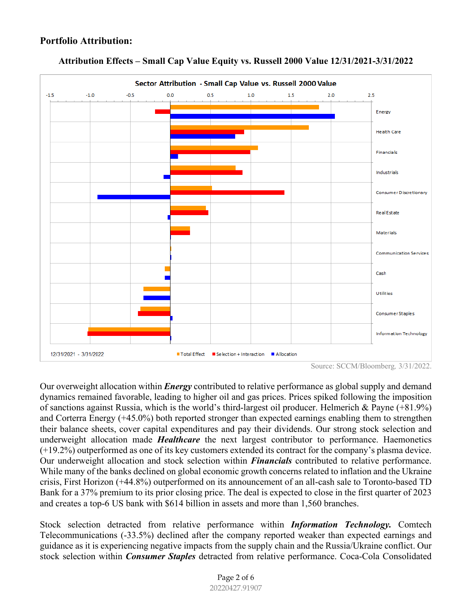# **Portfolio Attribution:**



#### **Attribution Effects – Small Cap Value Equity vs. Russell 2000 Value 12/31/2021-3/31/2022**

Our overweight allocation within *Energy* contributed to relative performance as global supply and demand dynamics remained favorable, leading to higher oil and gas prices. Prices spiked following the imposition of sanctions against Russia, which is the world's third-largest oil producer. Helmerich & Payne (+81.9%) and Corterra Energy (+45.0%) both reported stronger than expected earnings enabling them to strengthen their balance sheets, cover capital expenditures and pay their dividends. Our strong stock selection and underweight allocation made *Healthcare* the next largest contributor to performance. Haemonetics (+19.2%) outperformed as one of its key customers extended its contract for the company's plasma device. Our underweight allocation and stock selection within *Financials* contributed to relative performance. While many of the banks declined on global economic growth concerns related to inflation and the Ukraine crisis, First Horizon (+44.8%) outperformed on its announcement of an all-cash sale to Toronto-based TD Bank for a 37% premium to its prior closing price. The deal is expected to close in the first quarter of 2023 and creates a top-6 US bank with \$614 billion in assets and more than 1,560 branches.

Stock selection detracted from relative performance within *Information Technology.* Comtech Telecommunications (-33.5%) declined after the company reported weaker than expected earnings and guidance as it is experiencing negative impacts from the supply chain and the Russia/Ukraine conflict. Our stock selection within *Consumer Staples* detracted from relative performance. Coca-Cola Consolidated

Source: SCCM/Bloomberg*,* 3/31/2022.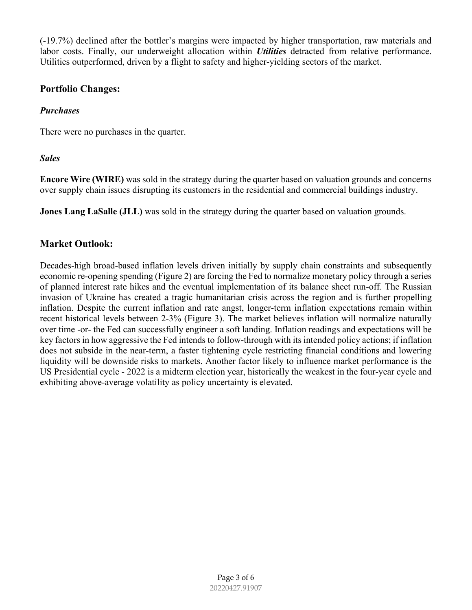(-19.7%) declined after the bottler's margins were impacted by higher transportation, raw materials and labor costs. Finally, our underweight allocation within *Utilities* detracted from relative performance. Utilities outperformed, driven by a flight to safety and higher-yielding sectors of the market.

## **Portfolio Changes:**

## *Purchases*

There were no purchases in the quarter.

## *Sales*

**Encore Wire (WIRE)** was sold in the strategy during the quarter based on valuation grounds and concerns over supply chain issues disrupting its customers in the residential and commercial buildings industry.

**Jones Lang LaSalle (JLL)** was sold in the strategy during the quarter based on valuation grounds.

# **Market Outlook:**

Decades-high broad-based inflation levels driven initially by supply chain constraints and subsequently economic re-opening spending (Figure 2) are forcing the Fed to normalize monetary policy through a series of planned interest rate hikes and the eventual implementation of its balance sheet run-off. The Russian invasion of Ukraine has created a tragic humanitarian crisis across the region and is further propelling inflation. Despite the current inflation and rate angst, longer-term inflation expectations remain within recent historical levels between 2-3% (Figure 3). The market believes inflation will normalize naturally over time -or- the Fed can successfully engineer a soft landing. Inflation readings and expectations will be key factors in how aggressive the Fed intends to follow-through with its intended policy actions; if inflation does not subside in the near-term, a faster tightening cycle restricting financial conditions and lowering liquidity will be downside risks to markets. Another factor likely to influence market performance is the US Presidential cycle - 2022 is a midterm election year, historically the weakest in the four-year cycle and exhibiting above-average volatility as policy uncertainty is elevated.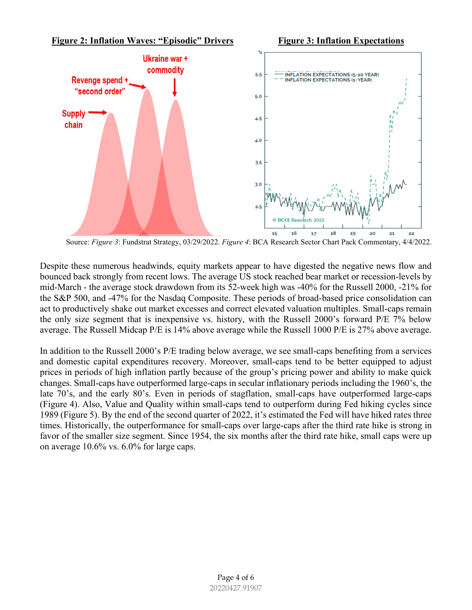

Source: *Figure 3*: Fundstrat Strategy, 03/29/2022. *Figure 4*: BCA Research Sector Chart Pack Commentary, 4/4/2022.

Despite these numerous headwinds, equity markets appear to have digested the negative news flow and bounced back strongly from recent lows. The average US stock reached bear market or recession-levels by mid-March - the average stock drawdown from its 52-week high was -40% for the Russell 2000, -21% for the S&P 500, and -47% for the Nasdaq Composite. These periods of broad-based price consolidation can act to productively shake out market excesses and correct elevated valuation multiples. Small-caps remain the only size segment that is inexpensive vs. history, with the Russell 2000's forward P/E 7% below average. The Russell Midcap P/E is 14% above average while the Russell 1000 P/E is 27% above average.

In addition to the Russell 2000's P/E trading below average, we see small-caps benefiting from a services and domestic capital expenditures recovery. Moreover, small-caps tend to be better equipped to adjust prices in periods of high inflation partly because of the group's pricing power and ability to make quick changes. Small-caps have outperformed large-caps in secular inflationary periods including the 1960's, the late 70's, and the early 80's. Even in periods of stagflation, small-caps have outperformed large-caps (Figure 4). Also, Value and Quality within small-caps tend to outperform during Fed hiking cycles since 1989 (Figure 5). By the end of the second quarter of 2022, it's estimated the Fed will have hiked rates three times. Historically, the outperformance for small-caps over large-caps after the third rate hike is strong in favor of the smaller size segment. Since 1954, the six months after the third rate hike, small caps were up on average 10.6% vs. 6.0% for large caps.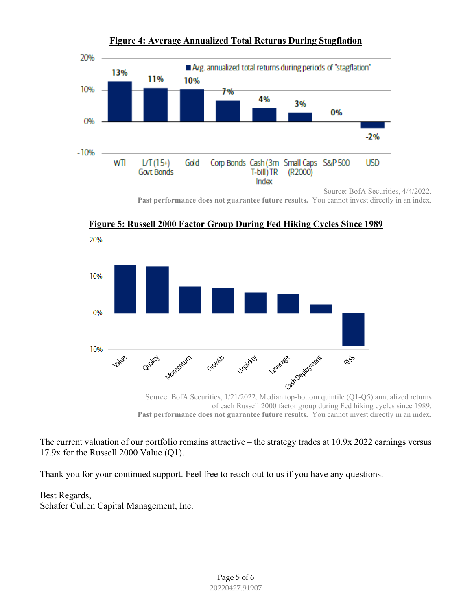

**Figure 4: Average Annualized Total Returns During Stagflation**

Past performance does not guarantee future results. You cannot invest directly in an index.



**Figure 5: Russell 2000 Factor Group During Fed Hiking Cycles Since 1989**

The current valuation of our portfolio remains attractive – the strategy trades at 10.9x 2022 earnings versus 17.9x for the Russell 2000 Value (Q1).

Thank you for your continued support. Feel free to reach out to us if you have any questions.

Best Regards, Schafer Cullen Capital Management, Inc.

of each Russell 2000 factor group during Fed hiking cycles since 1989. **Past performance does not guarantee future results.** You cannot invest directly in an index.